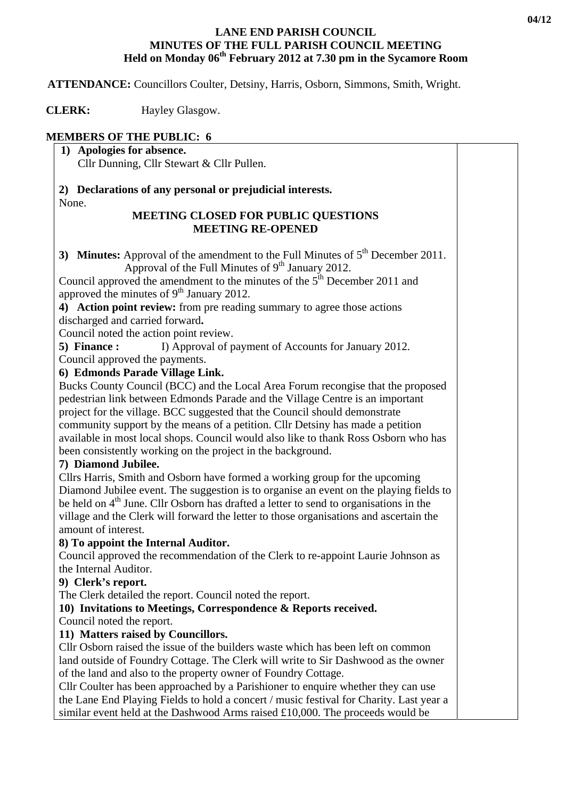#### **LANE END PARISH COUNCIL MINUTES OF THE FULL PARISH COUNCIL MEETING Held on Monday 06<sup>th</sup> February 2012 at 7.30 pm in the Sycamore Room**

 **ATTENDANCE:** Councillors Coulter, Detsiny, Harris, Osborn, Simmons, Smith, Wright.

**CLERK:** Hayley Glasgow.

# **MEMBERS OF THE PUBLIC: 6**

**1) Apologies for absence.**  Cllr Dunning, Cllr Stewart & Cllr Pullen.

**2) Declarations of any personal or prejudicial interests.**  None.

#### **MEETING CLOSED FOR PUBLIC QUESTIONS MEETING RE-OPENED**

**3) Minutes:** Approval of the amendment to the Full Minutes of 5<sup>th</sup> December 2011. Approval of the Full Minutes of  $9<sup>th</sup>$  January 2012.

Council approved the amendment to the minutes of the  $5<sup>th</sup>$  December 2011 and approved the minutes of  $9<sup>th</sup>$  January 2012.

**4) Action point review:** from pre reading summary to agree those actions discharged and carried forward**.** 

Council noted the action point review.

**5) Finance :** I) Approval of payment of Accounts for January 2012.

Council approved the payments.

## **6) Edmonds Parade Village Link.**

Bucks County Council (BCC) and the Local Area Forum recongise that the proposed pedestrian link between Edmonds Parade and the Village Centre is an important project for the village. BCC suggested that the Council should demonstrate community support by the means of a petition. Cllr Detsiny has made a petition available in most local shops. Council would also like to thank Ross Osborn who has been consistently working on the project in the background.

## **7) Diamond Jubilee.**

Cllrs Harris, Smith and Osborn have formed a working group for the upcoming Diamond Jubilee event. The suggestion is to organise an event on the playing fields to be held on 4<sup>th</sup> June. Cllr Osborn has drafted a letter to send to organisations in the village and the Clerk will forward the letter to those organisations and ascertain the amount of interest.

## **8) To appoint the Internal Auditor.**

Council approved the recommendation of the Clerk to re-appoint Laurie Johnson as the Internal Auditor.

## **9) Clerk's report.**

The Clerk detailed the report. Council noted the report.

## **10) Invitations to Meetings, Correspondence & Reports received.**

Council noted the report.

## **11) Matters raised by Councillors.**

Cllr Osborn raised the issue of the builders waste which has been left on common land outside of Foundry Cottage. The Clerk will write to Sir Dashwood as the owner of the land and also to the property owner of Foundry Cottage.

Cllr Coulter has been approached by a Parishioner to enquire whether they can use the Lane End Playing Fields to hold a concert / music festival for Charity. Last year a similar event held at the Dashwood Arms raised £10,000. The proceeds would be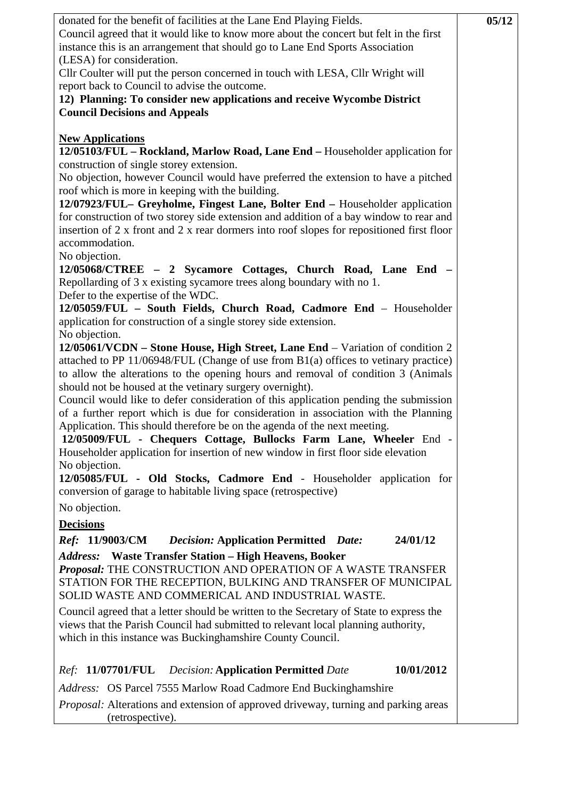| donated for the benefit of facilities at the Lane End Playing Fields.<br>Council agreed that it would like to know more about the concert but felt in the first<br>instance this is an arrangement that should go to Lane End Sports Association<br>(LESA) for consideration.<br>Cllr Coulter will put the person concerned in touch with LESA, Cllr Wright will<br>report back to Council to advise the outcome.<br>12) Planning: To consider new applications and receive Wycombe District<br><b>Council Decisions and Appeals</b>                                                                                                                                                                                                        | 05/12 |
|---------------------------------------------------------------------------------------------------------------------------------------------------------------------------------------------------------------------------------------------------------------------------------------------------------------------------------------------------------------------------------------------------------------------------------------------------------------------------------------------------------------------------------------------------------------------------------------------------------------------------------------------------------------------------------------------------------------------------------------------|-------|
| <b>New Applications</b><br>12/05103/FUL - Rockland, Marlow Road, Lane End - Householder application for<br>construction of single storey extension.<br>No objection, however Council would have preferred the extension to have a pitched<br>roof which is more in keeping with the building.<br>12/07923/FUL- Greyholme, Fingest Lane, Bolter End - Householder application<br>for construction of two storey side extension and addition of a bay window to rear and<br>insertion of 2 x front and 2 x rear dormers into roof slopes for repositioned first floor<br>accommodation.                                                                                                                                                       |       |
| No objection.<br>12/05068/CTREE - 2 Sycamore Cottages, Church Road, Lane End -<br>Repollarding of 3 x existing sycamore trees along boundary with no 1.<br>Defer to the expertise of the WDC.<br>12/05059/FUL - South Fields, Church Road, Cadmore End - Householder<br>application for construction of a single storey side extension.<br>No objection.                                                                                                                                                                                                                                                                                                                                                                                    |       |
| 12/05061/VCDN – Stone House, High Street, Lane End – Variation of condition 2<br>attached to PP 11/06948/FUL (Change of use from B1(a) offices to vetinary practice)<br>to allow the alterations to the opening hours and removal of condition 3 (Animals<br>should not be housed at the vetinary surgery overnight).<br>Council would like to defer consideration of this application pending the submission<br>of a further report which is due for consideration in association with the Planning<br>Application. This should therefore be on the agenda of the next meeting.<br>12/05009/FUL - Chequers Cottage, Bullocks Farm Lane, Wheeler End -<br>Householder application for insertion of new window in first floor side elevation |       |
| No objection.<br>12/05085/FUL - Old Stocks, Cadmore End - Householder application for<br>conversion of garage to habitable living space (retrospective)<br>No objection.                                                                                                                                                                                                                                                                                                                                                                                                                                                                                                                                                                    |       |
| <b>Decisions</b>                                                                                                                                                                                                                                                                                                                                                                                                                                                                                                                                                                                                                                                                                                                            |       |
| <i>Ref:</i> 11/9003/CM<br><b>Decision: Application Permitted Date:</b><br>24/01/12<br><b>Address:</b> Waste Transfer Station - High Heavens, Booker<br>Proposal: THE CONSTRUCTION AND OPERATION OF A WASTE TRANSFER<br>STATION FOR THE RECEPTION, BULKING AND TRANSFER OF MUNICIPAL<br>SOLID WASTE AND COMMERICAL AND INDUSTRIAL WASTE.                                                                                                                                                                                                                                                                                                                                                                                                     |       |
| Council agreed that a letter should be written to the Secretary of State to express the<br>views that the Parish Council had submitted to relevant local planning authority,<br>which in this instance was Buckinghamshire County Council.                                                                                                                                                                                                                                                                                                                                                                                                                                                                                                  |       |
| 10/01/2012<br>Ref: 11/07701/FUL Decision: Application Permitted Date                                                                                                                                                                                                                                                                                                                                                                                                                                                                                                                                                                                                                                                                        |       |
| Address: OS Parcel 7555 Marlow Road Cadmore End Buckinghamshire<br><i>Proposal:</i> Alterations and extension of approved driveway, turning and parking areas<br>(retrospective).                                                                                                                                                                                                                                                                                                                                                                                                                                                                                                                                                           |       |